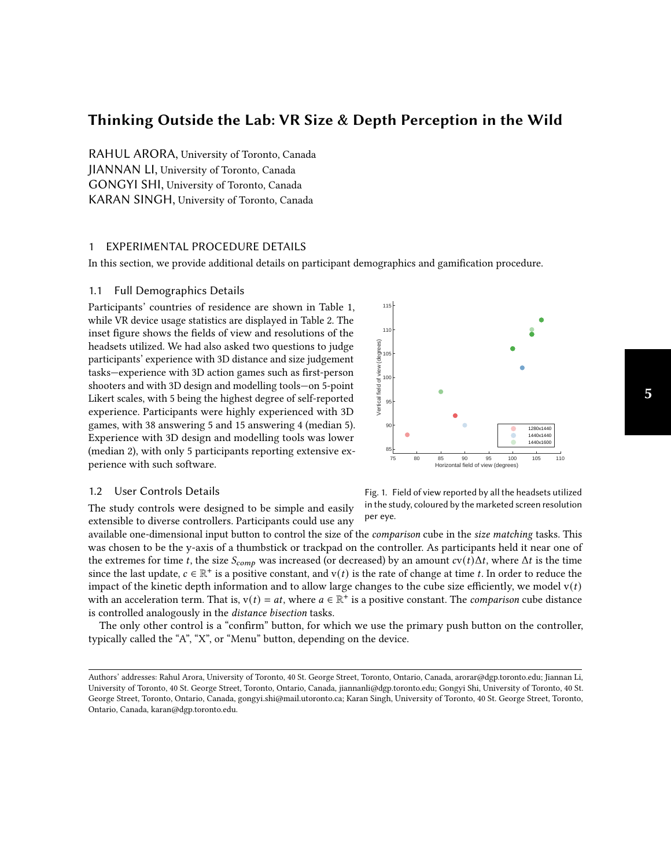# Thinking Outside the Lab: VR Size & Depth Perception in the Wild

RAHUL ARORA, University of Toronto, Canada JIANNAN LI, University of Toronto, Canada GONGYI SHI, University of Toronto, Canada KARAN SINGH, University of Toronto, Canada

# 1 EXPERIMENTAL PROCEDURE DETAILS

In this section, we provide additional details on participant demographics and gamification procedure.

### 1.1 Full Demographics Details

Participants' countries of residence are shown in Table [1,](#page-1-0) while VR device usage statistics are displayed in Table [2.](#page-1-0) The inset figure shows the fields of view and resolutions of the headsets utilized. We had also asked two questions to judge participants' experience with 3D distance and size judgement tasks—experience with 3D action games such as first-person shooters and with 3D design and modelling tools—on 5-point Likert scales, with 5 being the highest degree of self-reported experience. Participants were highly experienced with 3D games, with 38 answering 5 and 15 answering 4 (median 5). Experience with 3D design and modelling tools was lower (median 2), with only 5 participants reporting extensive experience with such software.



### 1.2 User Controls Details

The study controls were designed to be simple and easily extensible to diverse controllers. Participants could use any Fig. 1. Field of view reported by all the headsets utilized in the study, coloured by the marketed screen resolution per eye.

available one-dimensional input button to control the size of the *comparison* cube in the size matching tasks. This was chosen to be the y-axis of a thumbstick or trackpad on the controller. As participants held it near one of the extremes for time t, the size  $S_{comp}$  was increased (or decreased) by an amount  $cv(t)\Delta t$ , where  $\Delta t$  is the time since the last update,  $c \in \mathbb{R}^+$  is a positive constant, and  $v(t)$  is the rate of change at time t. In order to reduce the impact of the kinetic depth information and to allow large changes to the cube size efficiently, we model  $v(t)$ with an acceleration term. That is,  $v(t) = at$ , where  $a \in \mathbb{R}^+$  is a positive constant. The *comparison* cube distance is controlled analogously in the distance bisection tasks.

The only other control is a "confirm" button, for which we use the primary push button on the controller, typically called the "A", "X", or "Menu" button, depending on the device.

Authors' addresses: Rahul Arora, University of Toronto, 40 St. George Street, Toronto, Ontario, Canada, arorar@dgp.toronto.edu; Jiannan Li, University of Toronto, 40 St. George Street, Toronto, Ontario, Canada, jiannanli@dgp.toronto.edu; Gongyi Shi, University of Toronto, 40 St. George Street, Toronto, Ontario, Canada, gongyi.shi@mail.utoronto.ca; Karan Singh, University of Toronto, 40 St. George Street, Toronto, Ontario, Canada, karan@dgp.toronto.edu.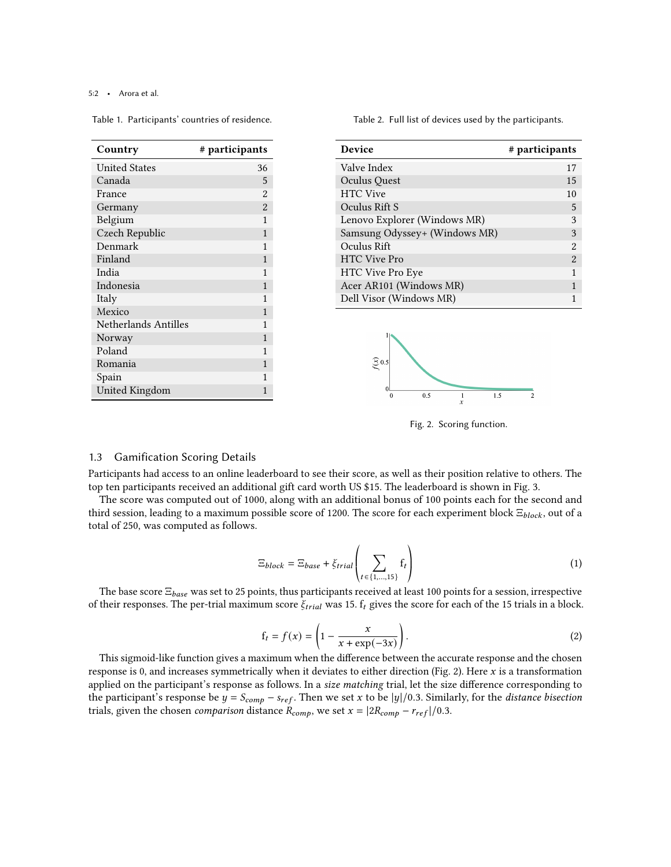#### 5:2 • Arora et al.

<span id="page-1-0"></span>Table 1. Participants' countries of residence.

Table 2. Full list of devices used by the participants.

| Country               | # participants |
|-----------------------|----------------|
| <b>United States</b>  | 36             |
| Canada                | 5              |
| France                | $\overline{2}$ |
| Germany               | $\overline{2}$ |
| Belgium               | 1              |
| Czech Republic        | 1              |
| Denmark               | 1              |
| Finland               | 1              |
| India                 | 1              |
| Indonesia             | 1              |
| Italy                 | 1              |
| Mexico                | 1              |
| Netherlands Antilles  | 1              |
| Norway                | 1              |
| Poland                | 1              |
| Romania               | 1              |
| Spain                 | 1              |
| <b>United Kingdom</b> | 1              |

| <b>Device</b>                 | # participants |
|-------------------------------|----------------|
| Valve Index                   | 17             |
| Oculus Quest                  | 15             |
| <b>HTC</b> Vive               | 10             |
| Oculus Rift S                 | 5              |
| Lenovo Explorer (Windows MR)  | 3              |
| Samsung Odyssey+ (Windows MR) | 3              |
| Oculus Rift                   | 2              |
| <b>HTC</b> Vive Pro           | $\mathfrak{D}$ |
| <b>HTC Vive Pro Eye</b>       | 1              |
| Acer AR101 (Windows MR)       | 1              |
| Dell Visor (Windows MR)       |                |



Fig. 2. Scoring function.

# 1.3 Gamification Scoring Details

Participants had access to an online leaderboard to see their score, as well as their position relative to others. The top ten participants received an additional gift card worth US \$15. The leaderboard is shown in Fig. [3.](#page-2-0)

The score was computed out of 1000, along with an additional bonus of 100 points each for the second and third session, leading to a maximum possible score of 1200. The score for each experiment block  $\Xi_{block}$ , out of a total of 250, was computed as follows.

$$
\Xi_{block} = \Xi_{base} + \xi_{trial} \left( \sum_{t \in \{1, \dots, 15\}} f_t \right) \tag{1}
$$

The base score  $\Xi_{base}$  was set to 25 points, thus participants received at least 100 points for a session, irrespective of their responses. The per-trial maximum score  $\xi_{trial}$  was 15.  $f_t$  gives the score for each of the 15 trials in a block.

$$
f_t = f(x) = \left(1 - \frac{x}{x + \exp(-3x)}\right).
$$
\n(2)

This sigmoid-like function gives a maximum when the difference between the accurate response and the chosen response is 0, and increases symmetrically when it deviates to either direction (Fig. [2\)](#page-1-0). Here  $x$  is a transformation applied on the participant's response as follows. In a size matching trial, let the size difference corresponding to the participant's response be  $y = S_{comp} - s_{ref}$ . Then we set x to be  $|y|/0.3$ . Similarly, for the distance bisection trials, given the chosen *comparison* distance  $R_{comp}$ , we set  $x = |2R_{comp} - r_{ref}|/0.3$ .